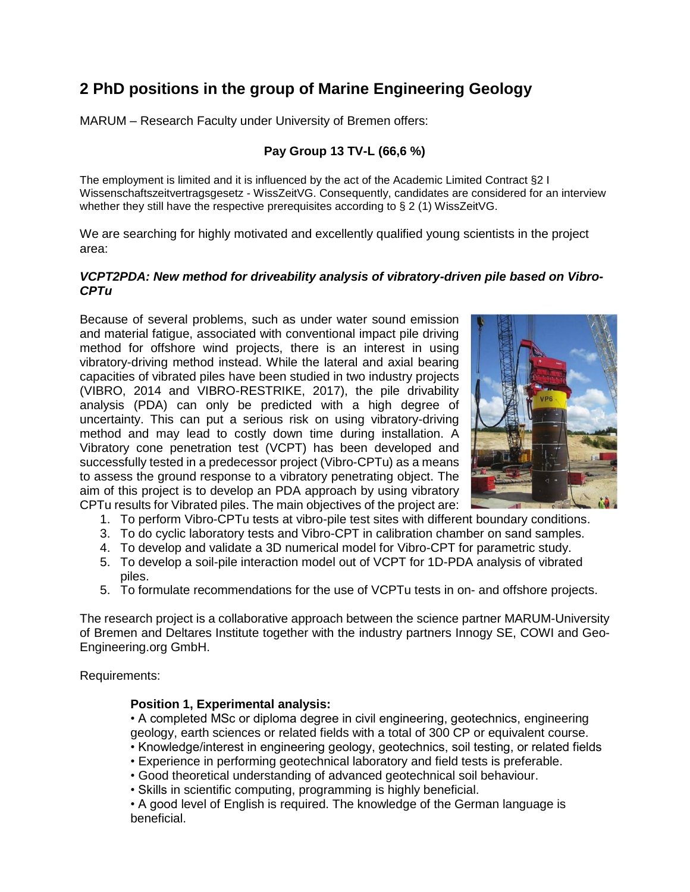# **2 PhD positions in the group of Marine Engineering Geology**

MARUM – Research Faculty under University of Bremen offers:

## **Pay Group 13 TV-L (66,6 %)**

The employment is limited and it is influenced by the act of the Academic Limited Contract §2 I Wissenschaftszeitvertragsgesetz - WissZeitVG. Consequently, candidates are considered for an interview whether they still have the respective prerequisites according to § 2 (1) WissZeitVG.

We are searching for highly motivated and excellently qualified young scientists in the project area:

#### *VCPT2PDA: New method for driveability analysis of vibratory-driven pile based on Vibro-CPTu*

Because of several problems, such as under water sound emission and material fatigue, associated with conventional impact pile driving method for offshore wind projects, there is an interest in using vibratory-driving method instead. While the lateral and axial bearing capacities of vibrated piles have been studied in two industry projects (VIBRO, 2014 and VIBRO-RESTRIKE, 2017), the pile drivability analysis (PDA) can only be predicted with a high degree of uncertainty. This can put a serious risk on using vibratory-driving method and may lead to costly down time during installation. A Vibratory cone penetration test (VCPT) has been developed and successfully tested in a predecessor project (Vibro-CPTu) as a means to assess the ground response to a vibratory penetrating object. The aim of this project is to develop an PDA approach by using vibratory CPTu results for Vibrated piles. The main objectives of the project are:



- 1. To perform Vibro-CPTu tests at vibro-pile test sites with different boundary conditions.
- 3. To do cyclic laboratory tests and Vibro-CPT in calibration chamber on sand samples.
- 4. To develop and validate a 3D numerical model for Vibro-CPT for parametric study.
- 5. To develop a soil-pile interaction model out of VCPT for 1D-PDA analysis of vibrated piles.
- 5. To formulate recommendations for the use of VCPTu tests in on- and offshore projects.

The research project is a collaborative approach between the science partner MARUM-University of Bremen and Deltares Institute together with the industry partners Innogy SE, COWI and Geo-Engineering.org GmbH.

Requirements:

### **Position 1, Experimental analysis:**

• A completed MSc or diploma degree in civil engineering, geotechnics, engineering geology, earth sciences or related fields with a total of 300 CP or equivalent course.

- Knowledge/interest in engineering geology, geotechnics, soil testing, or related fields
- Experience in performing geotechnical laboratory and field tests is preferable.
- Good theoretical understanding of advanced geotechnical soil behaviour.
- Skills in scientific computing, programming is highly beneficial.

• A good level of English is required. The knowledge of the German language is beneficial.